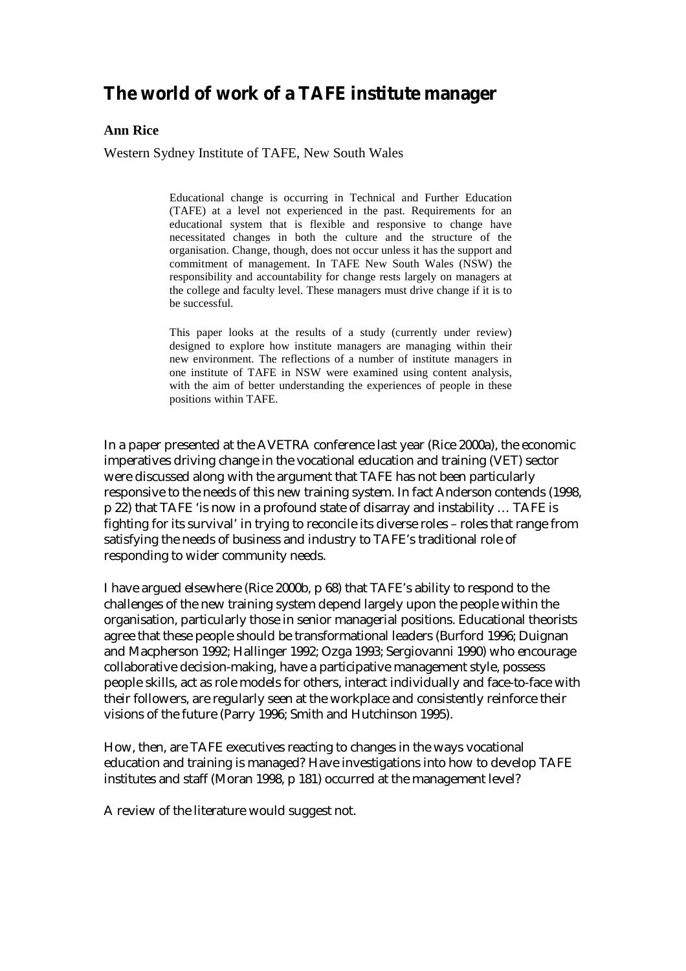# **The world of work of a TAFE institute manager**

#### **Ann Rice**

Western Sydney Institute of TAFE, New South Wales

Educational change is occurring in Technical and Further Education (TAFE) at a level not experienced in the past. Requirements for an educational system that is flexible and responsive to change have necessitated changes in both the culture and the structure of the organisation. Change, though, does not occur unless it has the support and commitment of management. In TAFE New South Wales (NSW) the responsibility and accountability for change rests largely on managers at the college and faculty level. These managers must drive change if it is to be successful.

This paper looks at the results of a study (currently under review) designed to explore how institute managers are managing within their new environment. The reflections of a number of institute managers in one institute of TAFE in NSW were examined using content analysis, with the aim of better understanding the experiences of people in these positions within TAFE.

In a paper presented at the AVETRA conference last year (Rice 2000a), the economic imperatives driving change in the vocational education and training (VET) sector were discussed along with the argument that TAFE has not been particularly responsive to the needs of this new training system. In fact Anderson contends (1998, p 22) that TAFE 'is now in a profound state of disarray and instability … TAFE is fighting for its survival' in trying to reconcile its diverse roles – roles that range from satisfying the needs of business and industry to TAFE's traditional role of responding to wider community needs.

I have argued elsewhere (Rice 2000b, p 68) that TAFE's ability to respond to the challenges of the new training system depend largely upon the people within the organisation, particularly those in senior managerial positions. Educational theorists agree that these people should be transformational leaders (Burford 1996; Duignan and Macpherson 1992; Hallinger 1992; Ozga 1993; Sergiovanni 1990) who encourage collaborative decision-making, have a participative management style, possess people skills, act as role models for others, interact individually and face-to-face with their followers, are regularly seen at the workplace and consistently reinforce their visions of the future (Parry 1996; Smith and Hutchinson 1995).

How, then, are TAFE executives reacting to changes in the ways vocational education and training is managed? Have investigations into how to develop TAFE institutes and staff (Moran 1998, p 181) occurred at the management level?

A review of the literature would suggest not.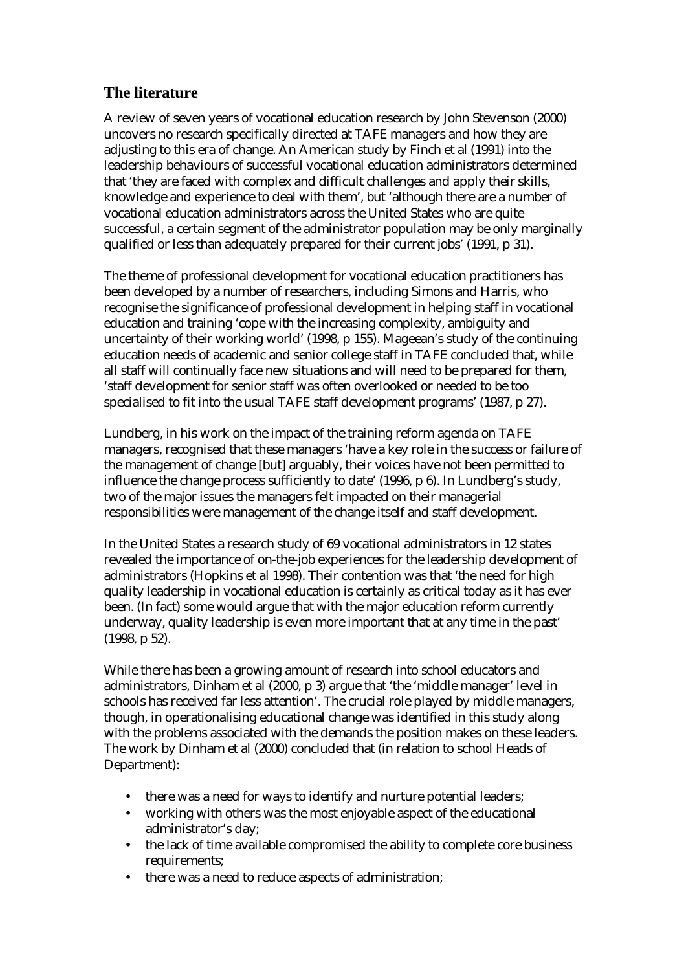# **The literature**

A review of seven years of vocational education research by John Stevenson (2000) uncovers no research specifically directed at TAFE managers and how they are adjusting to this era of change. An American study by Finch et al (1991) into the leadership behaviours of successful vocational education administrators determined that 'they are faced with complex and difficult challenges and apply their skills, knowledge and experience to deal with them', but 'although there are a number of vocational education administrators across the United States who are quite successful, a certain segment of the administrator population may be only marginally qualified or less than adequately prepared for their current jobs' (1991, p 31).

The theme of professional development for vocational education practitioners has been developed by a number of researchers, including Simons and Harris, who recognise the significance of professional development in helping staff in vocational education and training 'cope with the increasing complexity, ambiguity and uncertainty of their working world' (1998, p 155). Mageean's study of the continuing education needs of academic and senior college staff in TAFE concluded that, while all staff will continually face new situations and will need to be prepared for them, 'staff development for senior staff was often overlooked or needed to be too specialised to fit into the usual TAFE staff development programs' (1987, p 27).

Lundberg, in his work on the impact of the training reform agenda on TAFE managers, recognised that these managers 'have a key role in the success or failure of the management of change [but] arguably, their voices have not been permitted to influence the change process sufficiently to date' (1996, p 6). In Lundberg's study, two of the major issues the managers felt impacted on their managerial responsibilities were management of the change itself and staff development.

In the United States a research study of 69 vocational administrators in 12 states revealed the importance of on-the-job experiences for the leadership development of administrators (Hopkins et al 1998). Their contention was that 'the need for high quality leadership in vocational education is certainly as critical today as it has ever been. (In fact) some would argue that with the major education reform currently underway, quality leadership is even more important that at any time in the past' (1998, p 52).

While there has been a growing amount of research into school educators and administrators, Dinham et al (2000, p 3) argue that 'the 'middle manager' level in schools has received far less attention'. The crucial role played by middle managers, though, in operationalising educational change was identified in this study along with the problems associated with the demands the position makes on these leaders. The work by Dinham et al (2000) concluded that (in relation to school Heads of Department):

- there was a need for ways to identify and nurture potential leaders;
- working with others was the most enjoyable aspect of the educational administrator's day;
- the lack of time available compromised the ability to complete core business requirements;
- there was a need to reduce aspects of administration;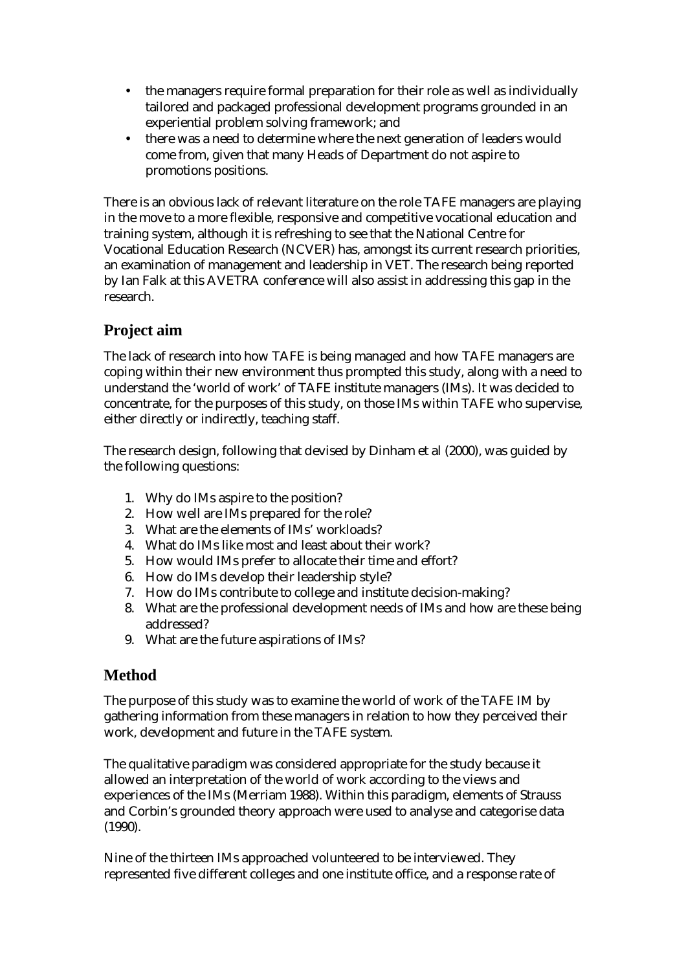- the managers require formal preparation for their role as well as individually tailored and packaged professional development programs grounded in an experiential problem solving framework; and
- there was a need to determine where the next generation of leaders would come from, given that many Heads of Department do not aspire to promotions positions.

There is an obvious lack of relevant literature on the role TAFE managers are playing in the move to a more flexible, responsive and competitive vocational education and training system, although it is refreshing to see that the National Centre for Vocational Education Research (NCVER) has, amongst its current research priorities, an examination of management and leadership in VET. The research being reported by Ian Falk at this AVETRA conference will also assist in addressing this gap in the research.

# **Project aim**

The lack of research into how TAFE is being managed and how TAFE managers are coping within their new environment thus prompted this study, along with a need to understand the 'world of work' of TAFE institute managers (IMs). It was decided to concentrate, for the purposes of this study, on those IMs within TAFE who supervise, either directly or indirectly, teaching staff.

The research design, following that devised by Dinham et al (2000), was guided by the following questions:

- 1. Why do IMs aspire to the position?
- 2. How well are IMs prepared for the role?
- 3. What are the elements of IMs' workloads?
- 4. What do IMs like most and least about their work?
- 5. How would IMs prefer to allocate their time and effort?
- 6. How do IMs develop their leadership style?
- 7. How do IMs contribute to college and institute decision-making?
- 8. What are the professional development needs of IMs and how are these being addressed?
- 9. What are the future aspirations of IMs?

# **Method**

The purpose of this study was to examine the world of work of the TAFE IM by gathering information from these managers in relation to how they perceived their work, development and future in the TAFE system.

The qualitative paradigm was considered appropriate for the study because it allowed an interpretation of the world of work according to the views and experiences of the IMs (Merriam 1988). Within this paradigm, elements of Strauss and Corbin's grounded theory approach were used to analyse and categorise data (1990).

Nine of the thirteen IMs approached volunteered to be interviewed. They represented five different colleges and one institute office, and a response rate of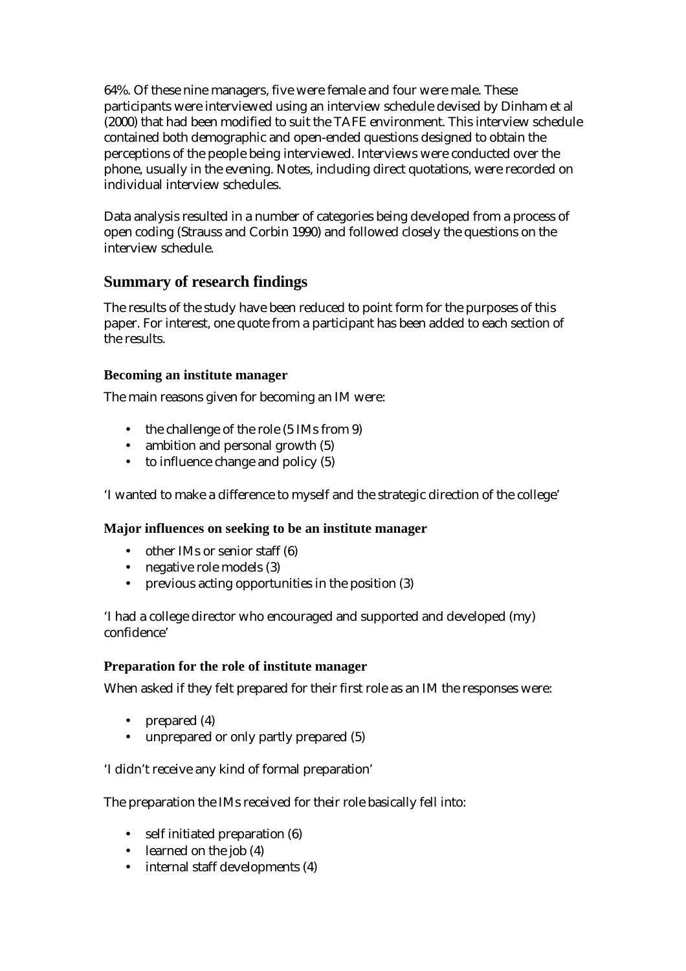64%. Of these nine managers, five were female and four were male. These participants were interviewed using an interview schedule devised by Dinham et al (2000) that had been modified to suit the TAFE environment. This interview schedule contained both demographic and open-ended questions designed to obtain the perceptions of the people being interviewed. Interviews were conducted over the phone, usually in the evening. Notes, including direct quotations, were recorded on individual interview schedules.

Data analysis resulted in a number of categories being developed from a process of open coding (Strauss and Corbin 1990) and followed closely the questions on the interview schedule.

# **Summary of research findings**

The results of the study have been reduced to point form for the purposes of this paper. For interest, one quote from a participant has been added to each section of the results.

## **Becoming an institute manager**

The main reasons given for becoming an IM were:

- the challenge of the role (5 IMs from 9)
- ambition and personal growth (5)
- to influence change and policy (5)

'I wanted to make a difference to myself and the strategic direction of the college'

## **Major influences on seeking to be an institute manager**

- other IMs or senior staff (6)
- negative role models (3)
- previous acting opportunities in the position (3)

'I had a college director who encouraged and supported and developed (my) confidence'

#### **Preparation for the role of institute manager**

When asked if they felt prepared for their first role as an IM the responses were:

- prepared (4)
- unprepared or only partly prepared (5)

'I didn't receive any kind of formal preparation'

The preparation the IMs received for their role basically fell into:

- self initiated preparation (6)
- learned on the job (4)
- internal staff developments (4)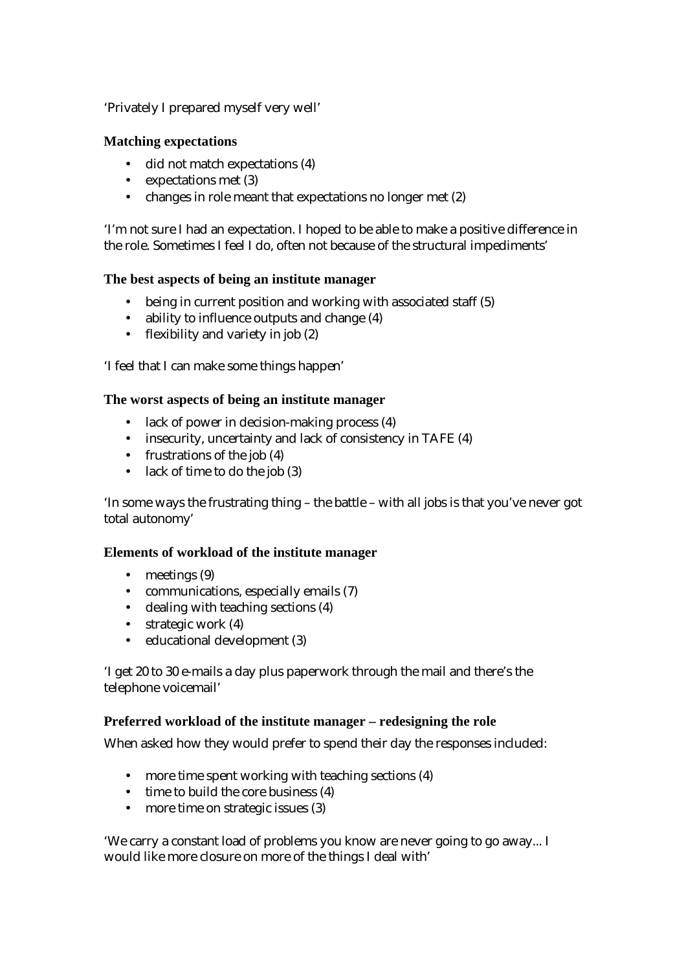'Privately I prepared myself very well'

#### **Matching expectations**

- did not match expectations (4)
- expectations met (3)
- changes in role meant that expectations no longer met (2)

'I'm not sure I had an expectation. I hoped to be able to make a positive difference in the role. Sometimes I feel I do, often not because of the structural impediments'

#### **The best aspects of being an institute manager**

- being in current position and working with associated staff (5)
- ability to influence outputs and change (4)
- flexibility and variety in job (2)

'I feel that I can make some things happen'

#### **The worst aspects of being an institute manager**

- lack of power in decision-making process (4)
- insecurity, uncertainty and lack of consistency in TAFE (4)
- frustrations of the job (4)
- lack of time to do the job (3)

'In some ways the frustrating thing – the battle – with all jobs is that you've never got total autonomy'

#### **Elements of workload of the institute manager**

- meetings (9)
- communications, especially emails (7)
- dealing with teaching sections (4)
- strategic work (4)
- educational development (3)

'I get 20 to 30 e-mails a day plus paperwork through the mail and there's the telephone voicemail'

#### **Preferred workload of the institute manager – redesigning the role**

When asked how they would prefer to spend their day the responses included:

- more time spent working with teaching sections (4)
- time to build the core business (4)
- more time on strategic issues (3)

'We carry a constant load of problems you know are never going to go away... I would like more closure on more of the things I deal with'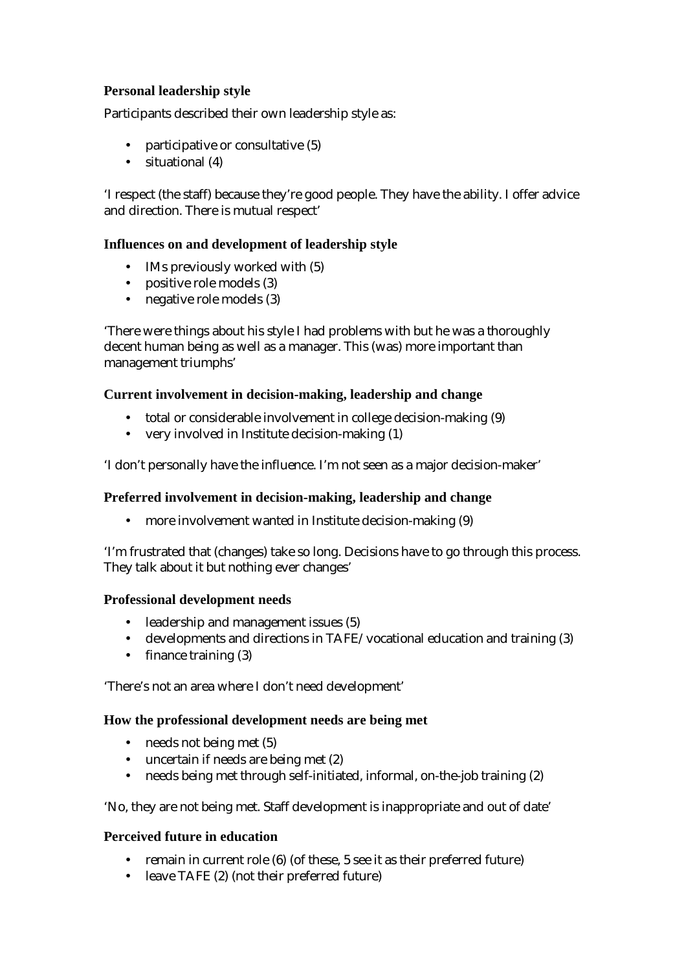# **Personal leadership style**

Participants described their own leadership style as:

- participative or consultative (5)
- situational (4)

'I respect (the staff) because they're good people. They have the ability. I offer advice and direction. There is mutual respect'

#### **Influences on and development of leadership style**

- IMs previously worked with (5)
- positive role models (3)
- negative role models (3)

'There were things about his style I had problems with but he was a thoroughly decent human being as well as a manager. This (was) more important than management triumphs'

#### **Current involvement in decision-making, leadership and change**

- total or considerable involvement in college decision-making (9)
- very involved in Institute decision-making (1)

'I don't personally have the influence. I'm not seen as a major decision-maker'

#### **Preferred involvement in decision-making, leadership and change**

• more involvement wanted in Institute decision-making (9)

'I'm frustrated that (changes) take so long. Decisions have to go through this process. They talk about it but nothing ever changes'

#### **Professional development needs**

- leadership and management issues (5)
- developments and directions in TAFE/vocational education and training (3)
- finance training (3)

'There's not an area where I don't need development'

#### **How the professional development needs are being met**

- needs not being met (5)
- uncertain if needs are being met (2)
- needs being met through self-initiated, informal, on-the-job training (2)

'No, they are not being met. Staff development is inappropriate and out of date'

#### **Perceived future in education**

- remain in current role (6) (of these, 5 see it as their preferred future)
- leave TAFE (2) (not their preferred future)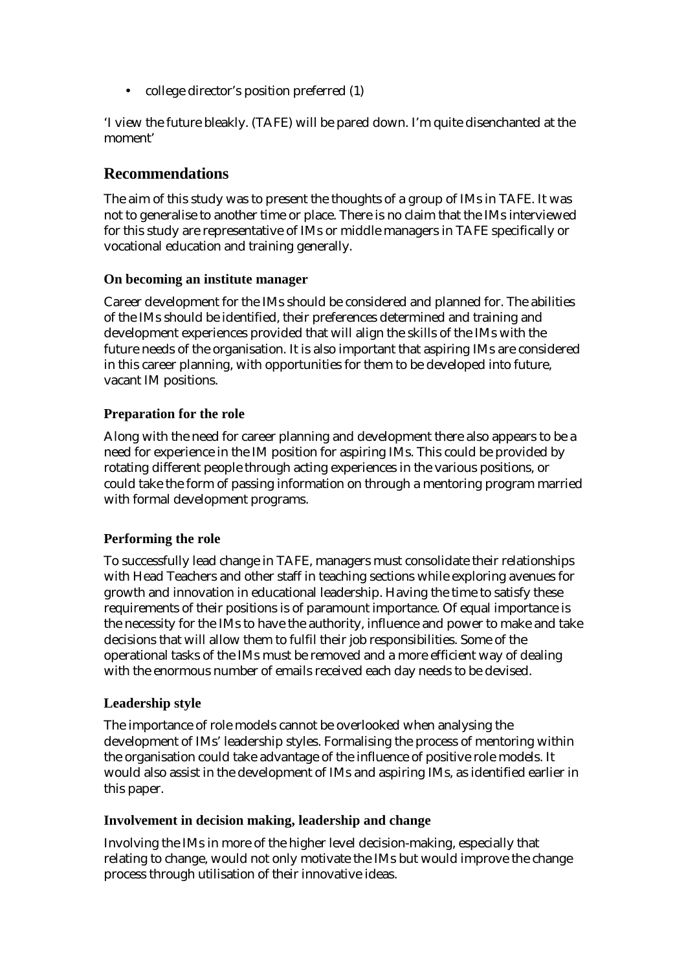• college director's position preferred (1)

'I view the future bleakly. (TAFE) will be pared down. I'm quite disenchanted at the moment'

# **Recommendations**

The aim of this study was to present the thoughts of a group of IMs in TAFE. It was not to generalise to another time or place. There is no claim that the IMs interviewed for this study are representative of IMs or middle managers in TAFE specifically or vocational education and training generally.

## **On becoming an institute manager**

Career development for the IMs should be considered and planned for. The abilities of the IMs should be identified, their preferences determined and training and development experiences provided that will align the skills of the IMs with the future needs of the organisation. It is also important that aspiring IMs are considered in this career planning, with opportunities for them to be developed into future, vacant IM positions.

## **Preparation for the role**

Along with the need for career planning and development there also appears to be a need for experience in the IM position for aspiring IMs. This could be provided by rotating different people through acting experiences in the various positions, or could take the form of passing information on through a mentoring program married with formal development programs.

## **Performing the role**

To successfully lead change in TAFE, managers must consolidate their relationships with Head Teachers and other staff in teaching sections while exploring avenues for growth and innovation in educational leadership. Having the time to satisfy these requirements of their positions is of paramount importance. Of equal importance is the necessity for the IMs to have the authority, influence and power to make and take decisions that will allow them to fulfil their job responsibilities. Some of the operational tasks of the IMs must be removed and a more efficient way of dealing with the enormous number of emails received each day needs to be devised.

## **Leadership style**

The importance of role models cannot be overlooked when analysing the development of IMs' leadership styles. Formalising the process of mentoring within the organisation could take advantage of the influence of positive role models. It would also assist in the development of IMs and aspiring IMs, as identified earlier in this paper.

#### **Involvement in decision making, leadership and change**

Involving the IMs in more of the higher level decision-making, especially that relating to change, would not only motivate the IMs but would improve the change process through utilisation of their innovative ideas.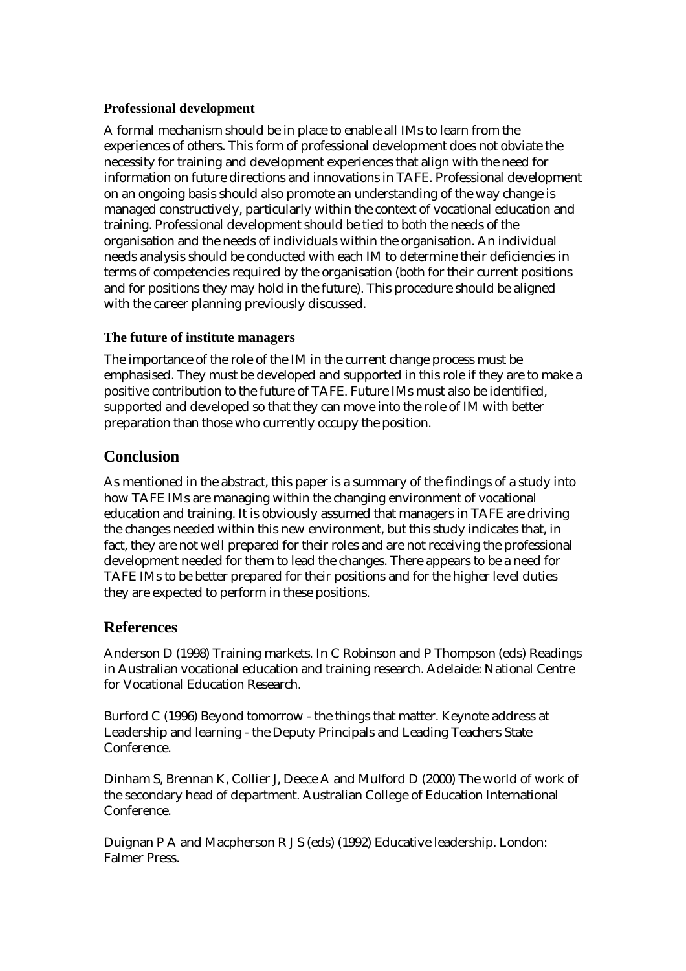#### **Professional development**

A formal mechanism should be in place to enable all IMs to learn from the experiences of others. This form of professional development does not obviate the necessity for training and development experiences that align with the need for information on future directions and innovations in TAFE. Professional development on an ongoing basis should also promote an understanding of the way change is managed constructively, particularly within the context of vocational education and training. Professional development should be tied to both the needs of the organisation and the needs of individuals within the organisation. An individual needs analysis should be conducted with each IM to determine their deficiencies in terms of competencies required by the organisation (both for their current positions and for positions they may hold in the future). This procedure should be aligned with the career planning previously discussed.

## **The future of institute managers**

The importance of the role of the IM in the current change process must be emphasised. They must be developed and supported in this role if they are to make a positive contribution to the future of TAFE. Future IMs must also be identified, supported and developed so that they can move into the role of IM with better preparation than those who currently occupy the position.

# **Conclusion**

As mentioned in the abstract, this paper is a summary of the findings of a study into how TAFE IMs are managing within the changing environment of vocational education and training. It is obviously assumed that managers in TAFE are driving the changes needed within this new environment, but this study indicates that, in fact, they are not well prepared for their roles and are not receiving the professional development needed for them to lead the changes. There appears to be a need for TAFE IMs to be better prepared for their positions and for the higher level duties they are expected to perform in these positions.

## **References**

Anderson D (1998) Training markets. In C Robinson and P Thompson (eds) Readings in Australian vocational education and training research. Adelaide: National Centre for Vocational Education Research.

Burford C (1996) Beyond tomorrow - the things that matter. Keynote address at Leadership and learning - the Deputy Principals and Leading Teachers State Conference.

Dinham S, Brennan K, Collier J, Deece A and Mulford D (2000) The world of work of the secondary head of department. Australian College of Education International Conference.

Duignan P A and Macpherson R J S (eds) (1992) Educative leadership. London: Falmer Press.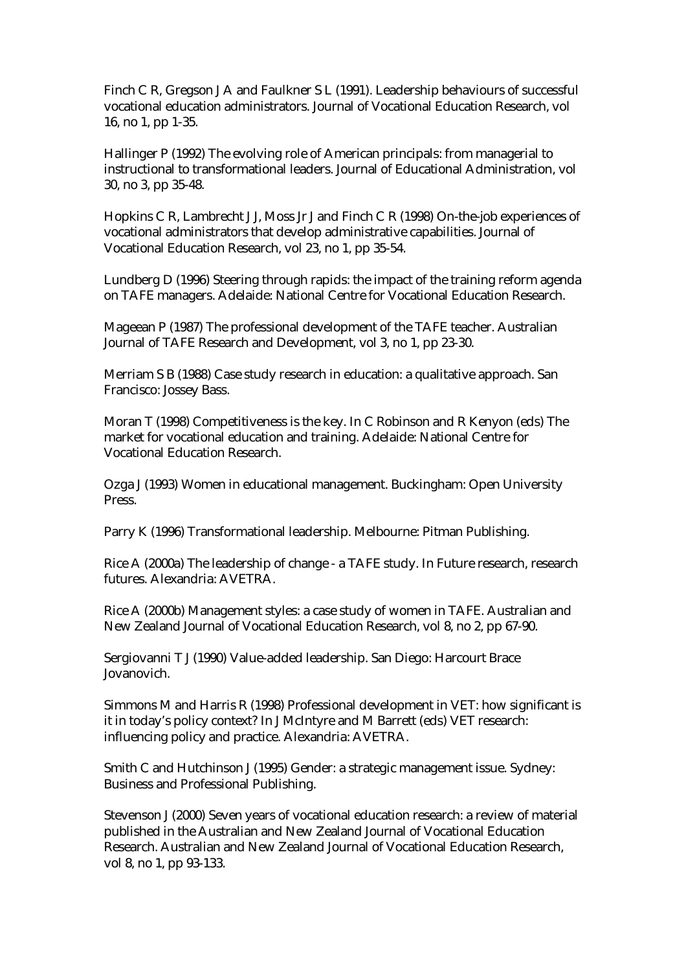Finch C R, Gregson J A and Faulkner S L (1991). Leadership behaviours of successful vocational education administrators. Journal of Vocational Education Research, vol 16, no 1, pp 1-35.

Hallinger P (1992) The evolving role of American principals: from managerial to instructional to transformational leaders. Journal of Educational Administration, vol 30, no 3, pp 35-48.

Hopkins C R, Lambrecht J J, Moss Jr J and Finch C R (1998) On-the-job experiences of vocational administrators that develop administrative capabilities. Journal of Vocational Education Research, vol 23, no 1, pp 35-54.

Lundberg D (1996) Steering through rapids: the impact of the training reform agenda on TAFE managers. Adelaide: National Centre for Vocational Education Research.

Mageean P (1987) The professional development of the TAFE teacher. Australian Journal of TAFE Research and Development, vol 3, no 1, pp 23-30.

Merriam S B (1988) Case study research in education: a qualitative approach. San Francisco: Jossey Bass.

Moran T (1998) Competitiveness is the key. In C Robinson and R Kenyon (eds) The market for vocational education and training. Adelaide: National Centre for Vocational Education Research.

Ozga J (1993) Women in educational management. Buckingham: Open University Press.

Parry K (1996) Transformational leadership. Melbourne: Pitman Publishing.

Rice A (2000a) The leadership of change - a TAFE study. In Future research, research futures. Alexandria: AVETRA.

Rice A (2000b) Management styles: a case study of women in TAFE. Australian and New Zealand Journal of Vocational Education Research, vol 8, no 2, pp 67-90.

Sergiovanni T J (1990) Value-added leadership. San Diego: Harcourt Brace Jovanovich.

Simmons M and Harris R (1998) Professional development in VET: how significant is it in today's policy context? In J McIntyre and M Barrett (eds) VET research: influencing policy and practice. Alexandria: AVETRA.

Smith C and Hutchinson J (1995) Gender: a strategic management issue. Sydney: Business and Professional Publishing.

Stevenson J (2000) Seven years of vocational education research: a review of material published in the Australian and New Zealand Journal of Vocational Education Research. Australian and New Zealand Journal of Vocational Education Research, vol 8, no 1, pp 93-133.